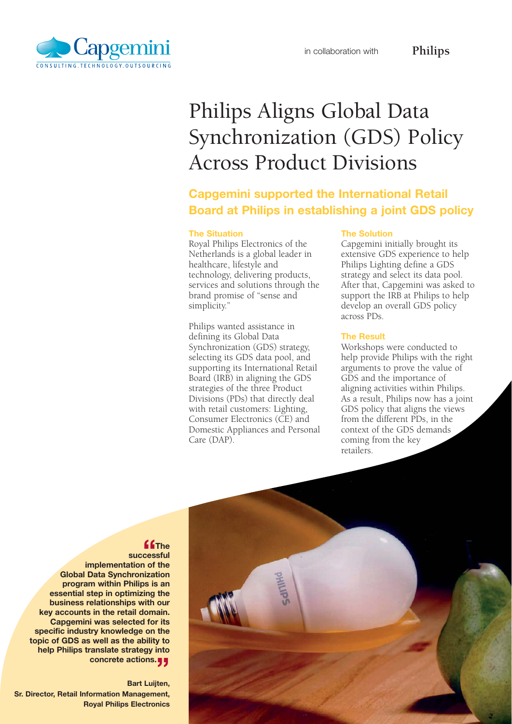

# Philips Aligns Global Data Synchronization (GDS) Policy Across Product Divisions

# **Capgemini supported the International Retail Board at Philips in establishing a joint GDS policy**

#### **The Situation**

Royal Philips Electronics of the Netherlands is a global leader in healthcare, lifestyle and technology, delivering products, services and solutions through the brand promise of "sense and simplicity."

Philips wanted assistance in defining its Global Data Synchronization (GDS) strategy, selecting its GDS data pool, and supporting its International Retail Board (IRB) in aligning the GDS strategies of the three Product Divisions (PDs) that directly deal with retail customers: Lighting, Consumer Electronics (CE) and Domestic Appliances and Personal Care (DAP).

#### **The Solution**

Capgemini initially brought its extensive GDS experience to help Philips Lighting define a GDS strategy and select its data pool. After that, Capgemini was asked to support the IRB at Philips to help develop an overall GDS policy across PDs.

**Philips**

## **The Result**

Workshops were conducted to help provide Philips with the right arguments to prove the value of GDS and the importance of aligning activities within Philips. As a result, Philips now has a joint GDS policy that aligns the views from the different PDs, in the context of the GDS demands coming from the key retailers.



### **"The**

**successful implementation of the Global Data Synchronization program within Philips is an essential step in optimizing the business relationships with our key accounts in the retail domain. Capgemini was selected for its specific industry knowledge on the topic of GDS as well as the ability to help Philips translate strategy into concrete actions.** 

**Bart Luijten, Sr. Director, Retail Information Management, Royal Philips Electronics**